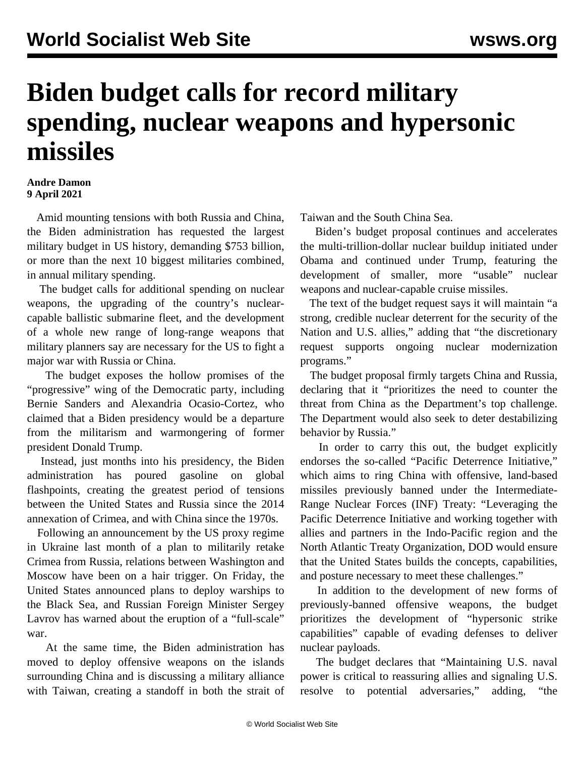## **Biden budget calls for record military spending, nuclear weapons and hypersonic missiles**

## **Andre Damon 9 April 2021**

 Amid mounting tensions with both Russia and China, the Biden administration has requested the largest military budget in US history, demanding \$753 billion, or more than the next 10 biggest militaries combined, in annual military spending.

 The budget calls for additional spending on nuclear weapons, the upgrading of the country's nuclearcapable ballistic submarine fleet, and the development of a whole new range of long-range weapons that military planners say are necessary for the US to fight a major war with Russia or China.

 The budget exposes the hollow promises of the "progressive" wing of the Democratic party, including Bernie Sanders and Alexandria Ocasio-Cortez, who claimed that a Biden presidency would be a departure from the militarism and warmongering of former president Donald Trump.

 Instead, just months into his presidency, the Biden administration has poured gasoline on global flashpoints, creating the greatest period of tensions between the United States and Russia since the 2014 annexation of Crimea, and with China since the 1970s.

 Following an announcement by the US proxy regime in Ukraine last month of a plan to militarily retake Crimea from Russia, relations between Washington and Moscow have been on a hair trigger. On Friday, the United States announced plans to deploy warships to the Black Sea, and Russian Foreign Minister Sergey Lavrov has warned about the eruption of a "full-scale" war.

 At the same time, the Biden administration has moved to deploy offensive weapons on the islands surrounding China and is discussing a military alliance with Taiwan, creating a standoff in both the strait of Taiwan and the South China Sea.

 Biden's budget proposal continues and accelerates the multi-trillion-dollar nuclear buildup initiated under Obama and continued under Trump, featuring the development of smaller, more "usable" nuclear weapons and nuclear-capable cruise missiles.

 The text of the budget request says it will maintain "a strong, credible nuclear deterrent for the security of the Nation and U.S. allies," adding that "the discretionary request supports ongoing nuclear modernization programs."

 The budget proposal firmly targets China and Russia, declaring that it "prioritizes the need to counter the threat from China as the Department's top challenge. The Department would also seek to deter destabilizing behavior by Russia."

 In order to carry this out, the budget explicitly endorses the so-called "Pacific Deterrence Initiative," which aims to ring China with offensive, land-based missiles previously banned under the Intermediate-Range Nuclear Forces (INF) Treaty: "Leveraging the Pacific Deterrence Initiative and working together with allies and partners in the Indo-Pacific region and the North Atlantic Treaty Organization, DOD would ensure that the United States builds the concepts, capabilities, and posture necessary to meet these challenges."

 In addition to the development of new forms of previously-banned offensive weapons, the budget prioritizes the development of "hypersonic strike capabilities" capable of evading defenses to deliver nuclear payloads.

 The budget declares that "Maintaining U.S. naval power is critical to reassuring allies and signaling U.S. resolve to potential adversaries," adding, "the